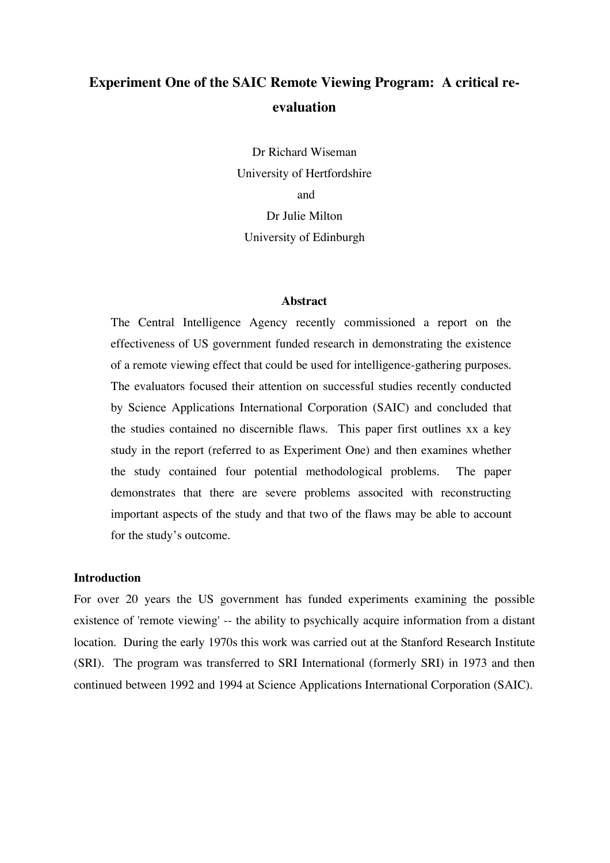# **Experiment One of the SAIC Remote Viewing Program: A critical reevaluation**

Dr Richard Wiseman University of Hertfordshire and Dr Julie Milton University of Edinburgh

#### **Abstract**

The Central Intelligence Agency recently commissioned a report on the effectiveness of US government funded research in demonstrating the existence of a remote viewing effect that could be used for intelligence-gathering purposes. The evaluators focused their attention on successful studies recently conducted by Science Applications International Corporation (SAIC) and concluded that the studies contained no discernible flaws. This paper first outlines xx a key study in the report (referred to as Experiment One) and then examines whether the study contained four potential methodological problems. The paper demonstrates that there are severe problems associted with reconstructing important aspects of the study and that two of the flaws may be able to account for the study's outcome.

### **Introduction**

For over 20 years the US government has funded experiments examining the possible existence of 'remote viewing' -- the ability to psychically acquire information from a distant location. During the early 1970s this work was carried out at the Stanford Research Institute (SRI). The program was transferred to SRI International (formerly SRI) in 1973 and then continued between 1992 and 1994 at Science Applications International Corporation (SAIC).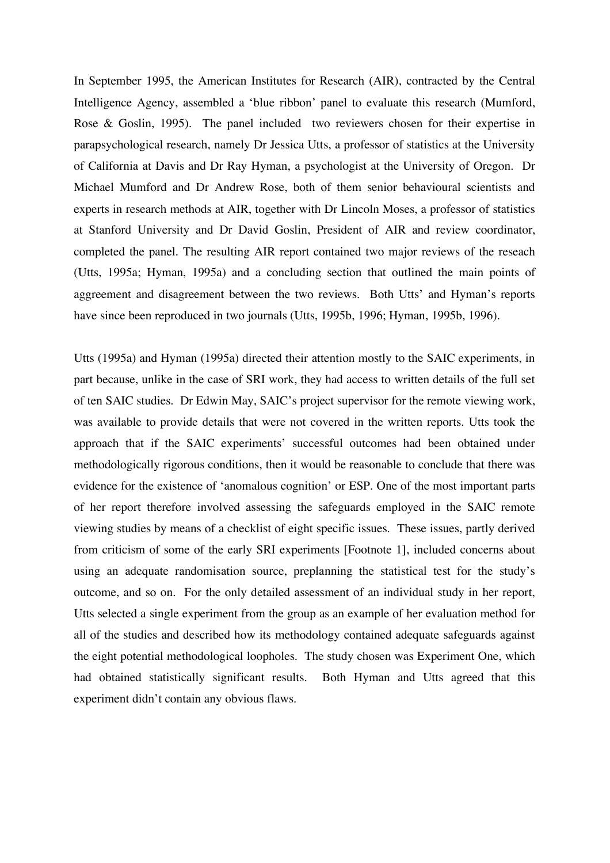In September 1995, the American Institutes for Research (AIR), contracted by the Central Intelligence Agency, assembled a 'blue ribbon' panel to evaluate this research (Mumford, Rose & Goslin, 1995). The panel included two reviewers chosen for their expertise in parapsychological research, namely Dr Jessica Utts, a professor of statistics at the University of California at Davis and Dr Ray Hyman, a psychologist at the University of Oregon. Dr Michael Mumford and Dr Andrew Rose, both of them senior behavioural scientists and experts in research methods at AIR, together with Dr Lincoln Moses, a professor of statistics at Stanford University and Dr David Goslin, President of AIR and review coordinator, completed the panel. The resulting AIR report contained two major reviews of the reseach (Utts, 1995a; Hyman, 1995a) and a concluding section that outlined the main points of aggreement and disagreement between the two reviews. Both Utts' and Hyman's reports have since been reproduced in two journals (Utts, 1995b, 1996; Hyman, 1995b, 1996).

Utts (1995a) and Hyman (1995a) directed their attention mostly to the SAIC experiments, in part because, unlike in the case of SRI work, they had access to written details of the full set of ten SAIC studies. Dr Edwin May, SAIC's project supervisor for the remote viewing work, was available to provide details that were not covered in the written reports. Utts took the approach that if the SAIC experiments' successful outcomes had been obtained under methodologically rigorous conditions, then it would be reasonable to conclude that there was evidence for the existence of 'anomalous cognition' or ESP. One of the most important parts of her report therefore involved assessing the safeguards employed in the SAIC remote viewing studies by means of a checklist of eight specific issues. These issues, partly derived from criticism of some of the early SRI experiments [Footnote 1], included concerns about using an adequate randomisation source, preplanning the statistical test for the study's outcome, and so on. For the only detailed assessment of an individual study in her report, Utts selected a single experiment from the group as an example of her evaluation method for all of the studies and described how its methodology contained adequate safeguards against the eight potential methodological loopholes. The study chosen was Experiment One, which had obtained statistically significant results. Both Hyman and Utts agreed that this experiment didn't contain any obvious flaws.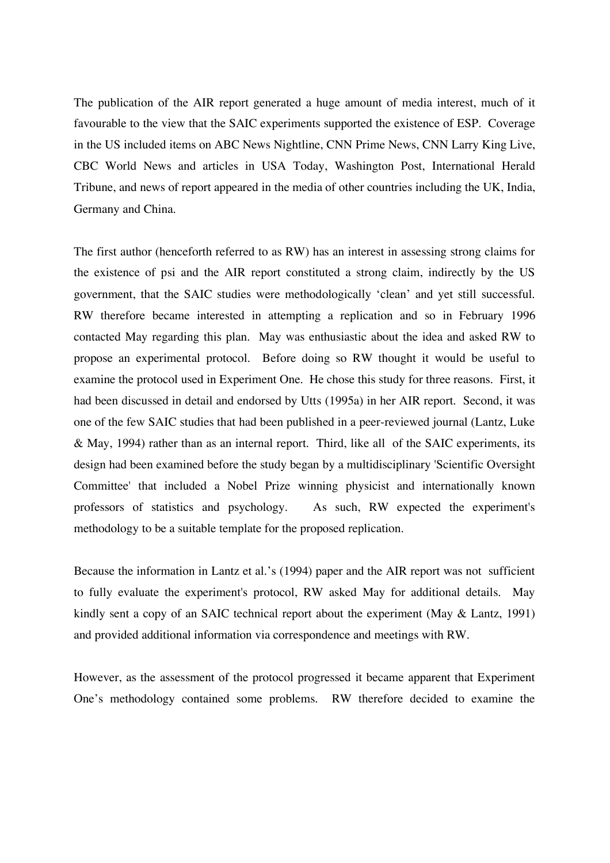The publication of the AIR report generated a huge amount of media interest, much of it favourable to the view that the SAIC experiments supported the existence of ESP. Coverage in the US included items on ABC News Nightline, CNN Prime News, CNN Larry King Live, CBC World News and articles in USA Today, Washington Post, International Herald Tribune, and news of report appeared in the media of other countries including the UK, India, Germany and China.

The first author (henceforth referred to as RW) has an interest in assessing strong claims for the existence of psi and the AIR report constituted a strong claim, indirectly by the US government, that the SAIC studies were methodologically 'clean' and yet still successful. RW therefore became interested in attempting a replication and so in February 1996 contacted May regarding this plan. May was enthusiastic about the idea and asked RW to propose an experimental protocol. Before doing so RW thought it would be useful to examine the protocol used in Experiment One. He chose this study for three reasons. First, it had been discussed in detail and endorsed by Utts (1995a) in her AIR report. Second, it was one of the few SAIC studies that had been published in a peer-reviewed journal (Lantz, Luke & May, 1994) rather than as an internal report. Third, like all of the SAIC experiments, its design had been examined before the study began by a multidisciplinary 'Scientific Oversight Committee' that included a Nobel Prize winning physicist and internationally known professors of statistics and psychology. As such, RW expected the experiment's methodology to be a suitable template for the proposed replication.

Because the information in Lantz et al.'s (1994) paper and the AIR report was not sufficient to fully evaluate the experiment's protocol, RW asked May for additional details. May kindly sent a copy of an SAIC technical report about the experiment (May & Lantz, 1991) and provided additional information via correspondence and meetings with RW.

However, as the assessment of the protocol progressed it became apparent that Experiment One's methodology contained some problems. RW therefore decided to examine the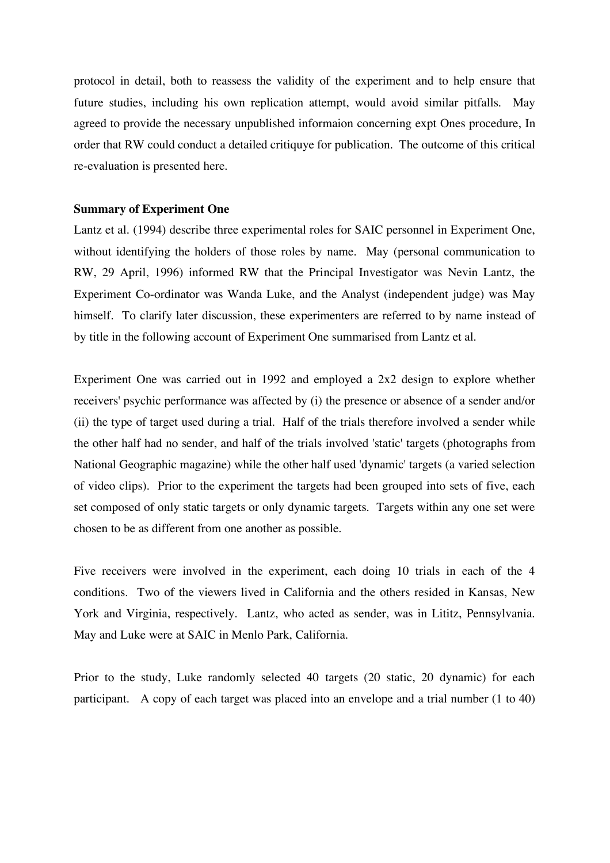protocol in detail, both to reassess the validity of the experiment and to help ensure that future studies, including his own replication attempt, would avoid similar pitfalls. May agreed to provide the necessary unpublished informaion concerning expt Ones procedure, In order that RW could conduct a detailed critiquye for publication. The outcome of this critical re-evaluation is presented here.

### **Summary of Experiment One**

Lantz et al. (1994) describe three experimental roles for SAIC personnel in Experiment One, without identifying the holders of those roles by name. May (personal communication to RW, 29 April, 1996) informed RW that the Principal Investigator was Nevin Lantz, the Experiment Co-ordinator was Wanda Luke, and the Analyst (independent judge) was May himself. To clarify later discussion, these experimenters are referred to by name instead of by title in the following account of Experiment One summarised from Lantz et al.

Experiment One was carried out in 1992 and employed a 2x2 design to explore whether receivers' psychic performance was affected by (i) the presence or absence of a sender and/or (ii) the type of target used during a trial. Half of the trials therefore involved a sender while the other half had no sender, and half of the trials involved 'static' targets (photographs from National Geographic magazine) while the other half used 'dynamic' targets (a varied selection of video clips). Prior to the experiment the targets had been grouped into sets of five, each set composed of only static targets or only dynamic targets. Targets within any one set were chosen to be as different from one another as possible.

Five receivers were involved in the experiment, each doing 10 trials in each of the 4 conditions. Two of the viewers lived in California and the others resided in Kansas, New York and Virginia, respectively. Lantz, who acted as sender, was in Lititz, Pennsylvania. May and Luke were at SAIC in Menlo Park, California.

Prior to the study, Luke randomly selected 40 targets (20 static, 20 dynamic) for each participant. A copy of each target was placed into an envelope and a trial number (1 to 40)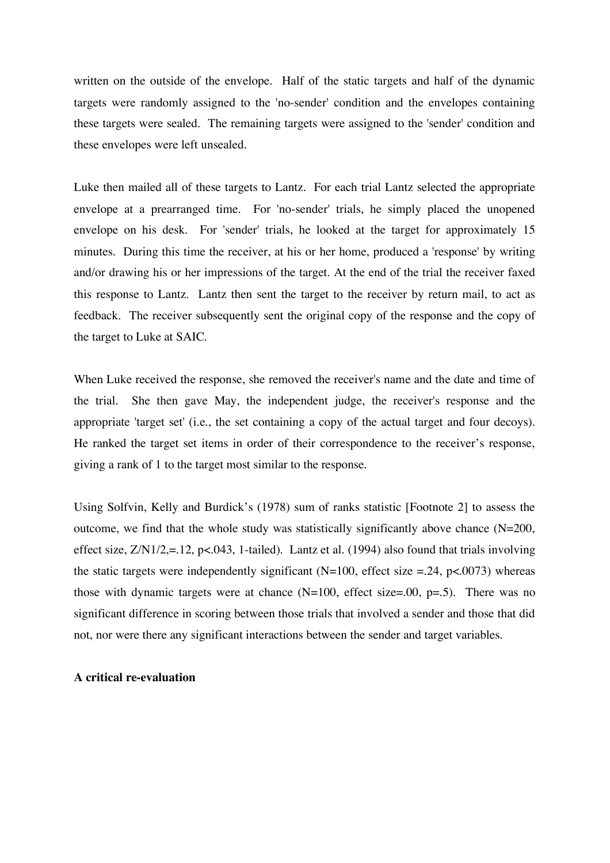written on the outside of the envelope. Half of the static targets and half of the dynamic targets were randomly assigned to the 'no-sender' condition and the envelopes containing these targets were sealed. The remaining targets were assigned to the 'sender' condition and these envelopes were left unsealed.

Luke then mailed all of these targets to Lantz. For each trial Lantz selected the appropriate envelope at a prearranged time. For 'no-sender' trials, he simply placed the unopened envelope on his desk. For 'sender' trials, he looked at the target for approximately 15 minutes. During this time the receiver, at his or her home, produced a 'response' by writing and/or drawing his or her impressions of the target. At the end of the trial the receiver faxed this response to Lantz. Lantz then sent the target to the receiver by return mail, to act as feedback. The receiver subsequently sent the original copy of the response and the copy of the target to Luke at SAIC.

When Luke received the response, she removed the receiver's name and the date and time of the trial. She then gave May, the independent judge, the receiver's response and the appropriate 'target set' (i.e., the set containing a copy of the actual target and four decoys). He ranked the target set items in order of their correspondence to the receiver's response, giving a rank of 1 to the target most similar to the response.

Using Solfvin, Kelly and Burdick's (1978) sum of ranks statistic [Footnote 2] to assess the outcome, we find that the whole study was statistically significantly above chance  $(N=200,$ effect size, Z/N1/2,=.12, p<.043, 1-tailed). Lantz et al. (1994) also found that trials involving the static targets were independently significant (N=100, effect size =.24, p<.0073) whereas those with dynamic targets were at chance  $(N=100, \text{ effect size} = .00, \text{p} = .5)$ . There was no significant difference in scoring between those trials that involved a sender and those that did not, nor were there any significant interactions between the sender and target variables.

### **A critical re-evaluation**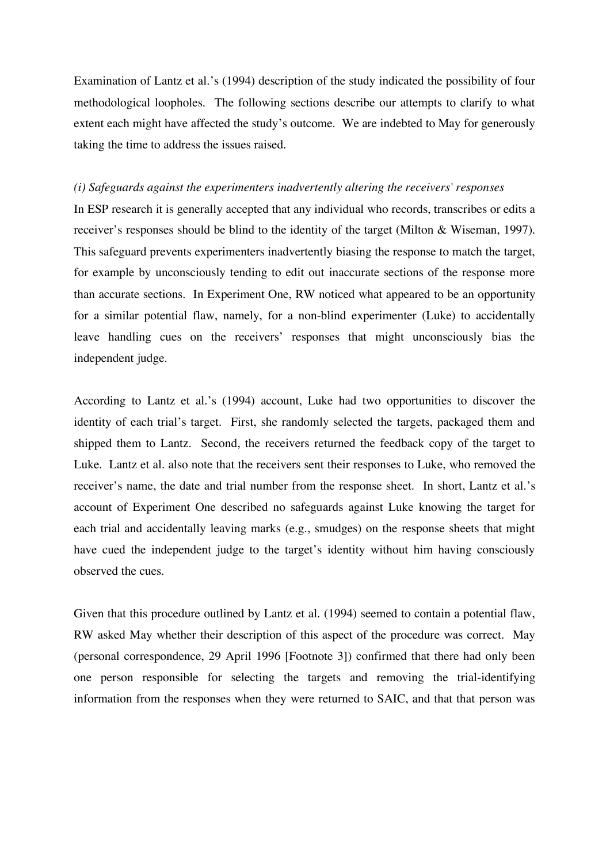Examination of Lantz et al.'s (1994) description of the study indicated the possibility of four methodological loopholes. The following sections describe our attempts to clarify to what extent each might have affected the study's outcome. We are indebted to May for generously taking the time to address the issues raised.

### *(i) Safeguards against the experimenters inadvertently altering the receivers' responses*

In ESP research it is generally accepted that any individual who records, transcribes or edits a receiver's responses should be blind to the identity of the target (Milton & Wiseman, 1997). This safeguard prevents experimenters inadvertently biasing the response to match the target, for example by unconsciously tending to edit out inaccurate sections of the response more than accurate sections. In Experiment One, RW noticed what appeared to be an opportunity for a similar potential flaw, namely, for a non-blind experimenter (Luke) to accidentally leave handling cues on the receivers' responses that might unconsciously bias the independent judge.

According to Lantz et al.'s (1994) account, Luke had two opportunities to discover the identity of each trial's target. First, she randomly selected the targets, packaged them and shipped them to Lantz. Second, the receivers returned the feedback copy of the target to Luke. Lantz et al. also note that the receivers sent their responses to Luke, who removed the receiver's name, the date and trial number from the response sheet. In short, Lantz et al.'s account of Experiment One described no safeguards against Luke knowing the target for each trial and accidentally leaving marks (e.g., smudges) on the response sheets that might have cued the independent judge to the target's identity without him having consciously observed the cues.

Given that this procedure outlined by Lantz et al. (1994) seemed to contain a potential flaw, RW asked May whether their description of this aspect of the procedure was correct. May (personal correspondence, 29 April 1996 [Footnote 3]) confirmed that there had only been one person responsible for selecting the targets and removing the trial-identifying information from the responses when they were returned to SAIC, and that that person was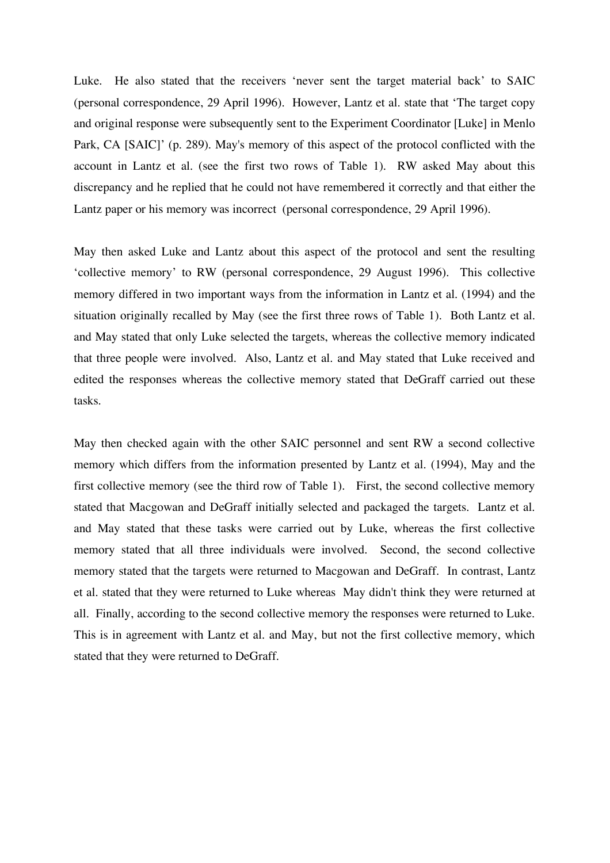Luke. He also stated that the receivers 'never sent the target material back' to SAIC (personal correspondence, 29 April 1996). However, Lantz et al. state that 'The target copy and original response were subsequently sent to the Experiment Coordinator [Luke] in Menlo Park, CA [SAIC]' (p. 289). May's memory of this aspect of the protocol conflicted with the account in Lantz et al. (see the first two rows of Table 1). RW asked May about this discrepancy and he replied that he could not have remembered it correctly and that either the Lantz paper or his memory was incorrect (personal correspondence, 29 April 1996).

May then asked Luke and Lantz about this aspect of the protocol and sent the resulting 'collective memory' to RW (personal correspondence, 29 August 1996). This collective memory differed in two important ways from the information in Lantz et al. (1994) and the situation originally recalled by May (see the first three rows of Table 1). Both Lantz et al. and May stated that only Luke selected the targets, whereas the collective memory indicated that three people were involved. Also, Lantz et al. and May stated that Luke received and edited the responses whereas the collective memory stated that DeGraff carried out these tasks.

May then checked again with the other SAIC personnel and sent RW a second collective memory which differs from the information presented by Lantz et al. (1994), May and the first collective memory (see the third row of Table 1). First, the second collective memory stated that Macgowan and DeGraff initially selected and packaged the targets. Lantz et al. and May stated that these tasks were carried out by Luke, whereas the first collective memory stated that all three individuals were involved. Second, the second collective memory stated that the targets were returned to Macgowan and DeGraff. In contrast, Lantz et al. stated that they were returned to Luke whereas May didn't think they were returned at all. Finally, according to the second collective memory the responses were returned to Luke. This is in agreement with Lantz et al. and May, but not the first collective memory, which stated that they were returned to DeGraff.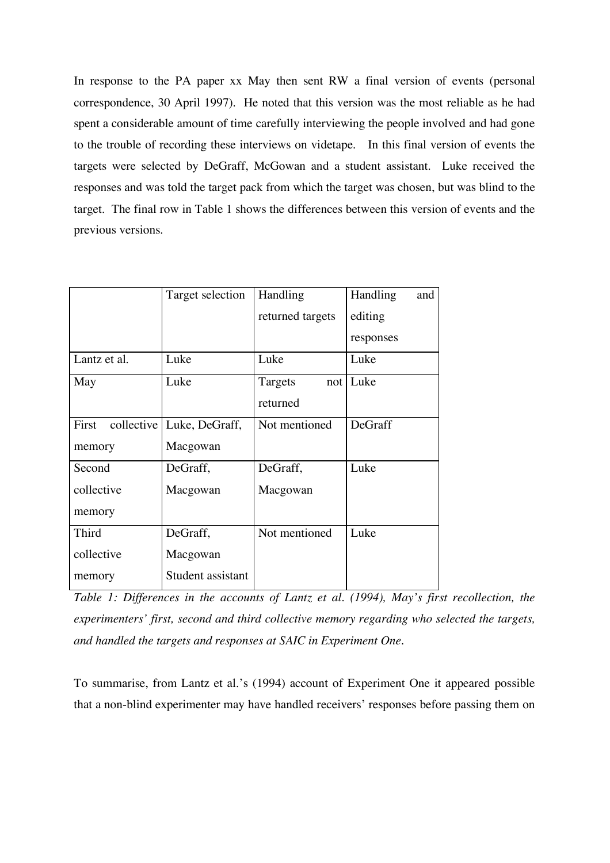In response to the PA paper xx May then sent RW a final version of events (personal correspondence, 30 April 1997). He noted that this version was the most reliable as he had spent a considerable amount of time carefully interviewing the people involved and had gone to the trouble of recording these interviews on videtape. In this final version of events the targets were selected by DeGraff, McGowan and a student assistant. Luke received the responses and was told the target pack from which the target was chosen, but was blind to the target. The final row in Table 1 shows the differences between this version of events and the previous versions.

|              | Target selection            | Handling         | Handling<br>and |
|--------------|-----------------------------|------------------|-----------------|
|              |                             | returned targets | editing         |
|              |                             |                  | responses       |
| Lantz et al. | Luke                        | Luke             | Luke            |
| May          | Luke                        | Targets          | not   Luke      |
|              |                             | returned         |                 |
| First        | collective   Luke, DeGraff, | Not mentioned    | DeGraff         |
| memory       | Macgowan                    |                  |                 |
| Second       | DeGraff,                    | DeGraff,         | Luke            |
| collective   | Macgowan                    | Macgowan         |                 |
| memory       |                             |                  |                 |
| <b>Third</b> | DeGraff,                    | Not mentioned    | Luke            |
| collective   | Macgowan                    |                  |                 |
| memory       | Student assistant           |                  |                 |

*Table 1: Differences in the accounts of Lantz et al. (1994), May's first recollection, the experimenters' first, second and third collective memory regarding who selected the targets, and handled the targets and responses at SAIC in Experiment One.*

To summarise, from Lantz et al.'s (1994) account of Experiment One it appeared possible that a non-blind experimenter may have handled receivers' responses before passing them on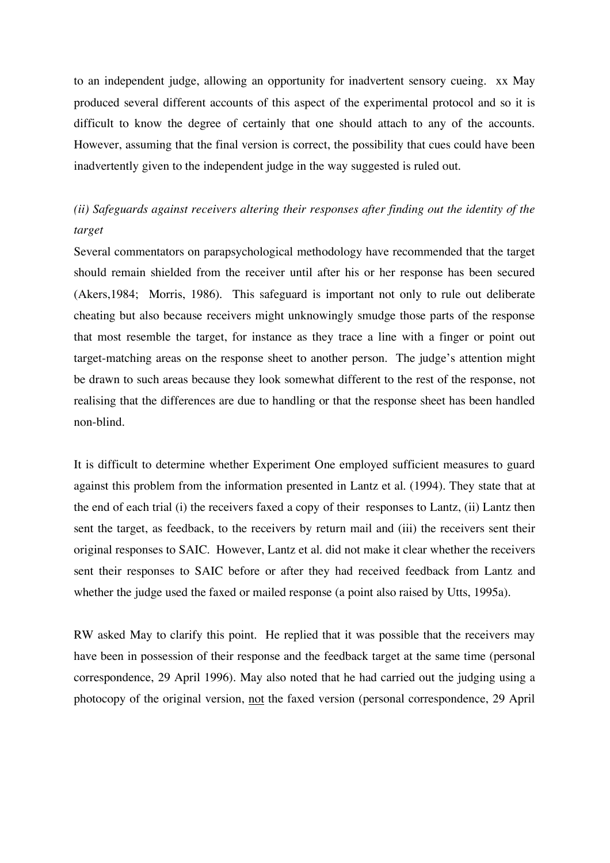to an independent judge, allowing an opportunity for inadvertent sensory cueing. xx May produced several different accounts of this aspect of the experimental protocol and so it is difficult to know the degree of certainly that one should attach to any of the accounts. However, assuming that the final version is correct, the possibility that cues could have been inadvertently given to the independent judge in the way suggested is ruled out.

# *(ii) Safeguards against receivers altering their responses after finding out the identity of the target*

Several commentators on parapsychological methodology have recommended that the target should remain shielded from the receiver until after his or her response has been secured (Akers,1984; Morris, 1986). This safeguard is important not only to rule out deliberate cheating but also because receivers might unknowingly smudge those parts of the response that most resemble the target, for instance as they trace a line with a finger or point out target-matching areas on the response sheet to another person. The judge's attention might be drawn to such areas because they look somewhat different to the rest of the response, not realising that the differences are due to handling or that the response sheet has been handled non-blind.

It is difficult to determine whether Experiment One employed sufficient measures to guard against this problem from the information presented in Lantz et al. (1994). They state that at the end of each trial (i) the receivers faxed a copy of their responses to Lantz, (ii) Lantz then sent the target, as feedback, to the receivers by return mail and (iii) the receivers sent their original responses to SAIC. However, Lantz et al. did not make it clear whether the receivers sent their responses to SAIC before or after they had received feedback from Lantz and whether the judge used the faxed or mailed response (a point also raised by Utts, 1995a).

RW asked May to clarify this point. He replied that it was possible that the receivers may have been in possession of their response and the feedback target at the same time (personal correspondence, 29 April 1996). May also noted that he had carried out the judging using a photocopy of the original version, not the faxed version (personal correspondence, 29 April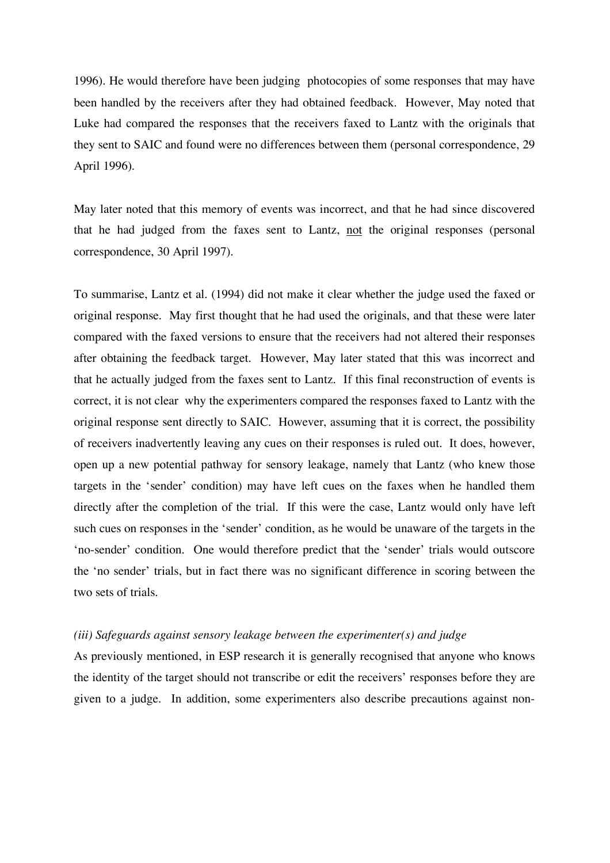1996). He would therefore have been judging photocopies of some responses that may have been handled by the receivers after they had obtained feedback. However, May noted that Luke had compared the responses that the receivers faxed to Lantz with the originals that they sent to SAIC and found were no differences between them (personal correspondence, 29 April 1996).

May later noted that this memory of events was incorrect, and that he had since discovered that he had judged from the faxes sent to Lantz, not the original responses (personal correspondence, 30 April 1997).

To summarise, Lantz et al. (1994) did not make it clear whether the judge used the faxed or original response. May first thought that he had used the originals, and that these were later compared with the faxed versions to ensure that the receivers had not altered their responses after obtaining the feedback target. However, May later stated that this was incorrect and that he actually judged from the faxes sent to Lantz. If this final reconstruction of events is correct, it is not clear why the experimenters compared the responses faxed to Lantz with the original response sent directly to SAIC. However, assuming that it is correct, the possibility of receivers inadvertently leaving any cues on their responses is ruled out. It does, however, open up a new potential pathway for sensory leakage, namely that Lantz (who knew those targets in the 'sender' condition) may have left cues on the faxes when he handled them directly after the completion of the trial. If this were the case, Lantz would only have left such cues on responses in the 'sender' condition, as he would be unaware of the targets in the 'no-sender' condition. One would therefore predict that the 'sender' trials would outscore the 'no sender' trials, but in fact there was no significant difference in scoring between the two sets of trials.

### *(iii) Safeguards against sensory leakage between the experimenter(s) and judge*

As previously mentioned, in ESP research it is generally recognised that anyone who knows the identity of the target should not transcribe or edit the receivers' responses before they are given to a judge. In addition, some experimenters also describe precautions against non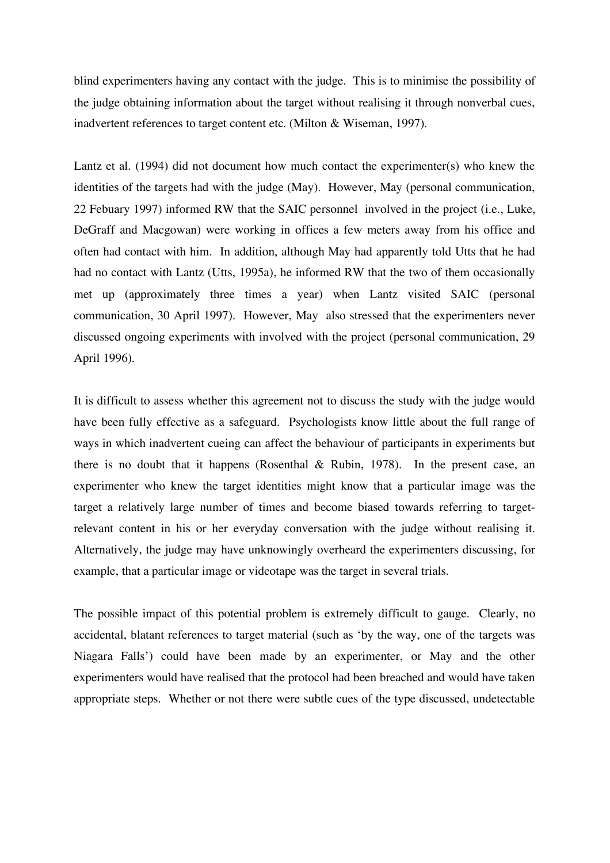blind experimenters having any contact with the judge. This is to minimise the possibility of the judge obtaining information about the target without realising it through nonverbal cues, inadvertent references to target content etc. (Milton & Wiseman, 1997).

Lantz et al. (1994) did not document how much contact the experimenter(s) who knew the identities of the targets had with the judge (May). However, May (personal communication, 22 Febuary 1997) informed RW that the SAIC personnel involved in the project (i.e., Luke, DeGraff and Macgowan) were working in offices a few meters away from his office and often had contact with him. In addition, although May had apparently told Utts that he had had no contact with Lantz (Utts, 1995a), he informed RW that the two of them occasionally met up (approximately three times a year) when Lantz visited SAIC (personal communication, 30 April 1997). However, May also stressed that the experimenters never discussed ongoing experiments with involved with the project (personal communication, 29 April 1996).

It is difficult to assess whether this agreement not to discuss the study with the judge would have been fully effective as a safeguard. Psychologists know little about the full range of ways in which inadvertent cueing can affect the behaviour of participants in experiments but there is no doubt that it happens (Rosenthal & Rubin, 1978). In the present case, an experimenter who knew the target identities might know that a particular image was the target a relatively large number of times and become biased towards referring to targetrelevant content in his or her everyday conversation with the judge without realising it. Alternatively, the judge may have unknowingly overheard the experimenters discussing, for example, that a particular image or videotape was the target in several trials.

The possible impact of this potential problem is extremely difficult to gauge. Clearly, no accidental, blatant references to target material (such as 'by the way, one of the targets was Niagara Falls') could have been made by an experimenter, or May and the other experimenters would have realised that the protocol had been breached and would have taken appropriate steps. Whether or not there were subtle cues of the type discussed, undetectable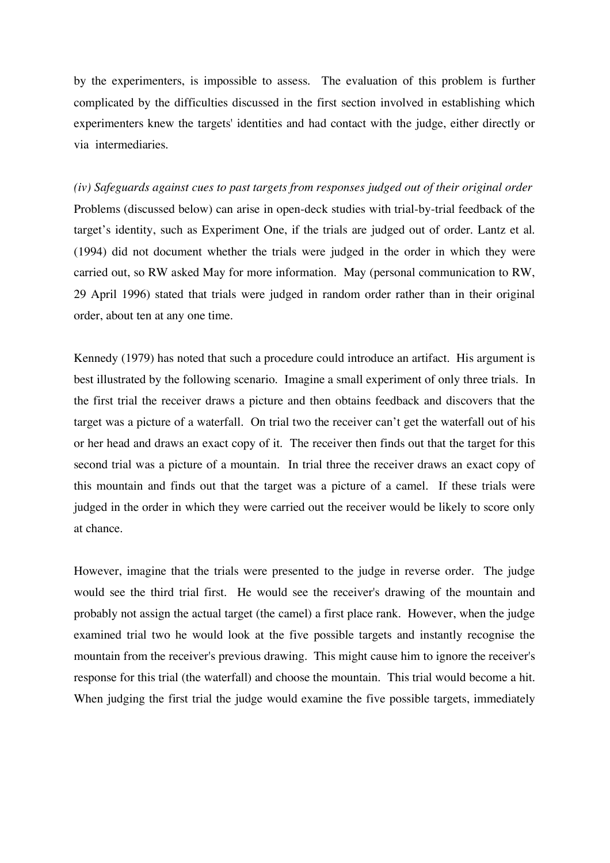by the experimenters, is impossible to assess. The evaluation of this problem is further complicated by the difficulties discussed in the first section involved in establishing which experimenters knew the targets' identities and had contact with the judge, either directly or via intermediaries.

*(iv) Safeguards against cues to past targets from responses judged out of their original order* Problems (discussed below) can arise in open-deck studies with trial-by-trial feedback of the target's identity, such as Experiment One, if the trials are judged out of order. Lantz et al. (1994) did not document whether the trials were judged in the order in which they were carried out, so RW asked May for more information. May (personal communication to RW, 29 April 1996) stated that trials were judged in random order rather than in their original order, about ten at any one time.

Kennedy (1979) has noted that such a procedure could introduce an artifact. His argument is best illustrated by the following scenario. Imagine a small experiment of only three trials. In the first trial the receiver draws a picture and then obtains feedback and discovers that the target was a picture of a waterfall. On trial two the receiver can't get the waterfall out of his or her head and draws an exact copy of it. The receiver then finds out that the target for this second trial was a picture of a mountain. In trial three the receiver draws an exact copy of this mountain and finds out that the target was a picture of a camel. If these trials were judged in the order in which they were carried out the receiver would be likely to score only at chance.

However, imagine that the trials were presented to the judge in reverse order. The judge would see the third trial first. He would see the receiver's drawing of the mountain and probably not assign the actual target (the camel) a first place rank. However, when the judge examined trial two he would look at the five possible targets and instantly recognise the mountain from the receiver's previous drawing. This might cause him to ignore the receiver's response for this trial (the waterfall) and choose the mountain. This trial would become a hit. When judging the first trial the judge would examine the five possible targets, immediately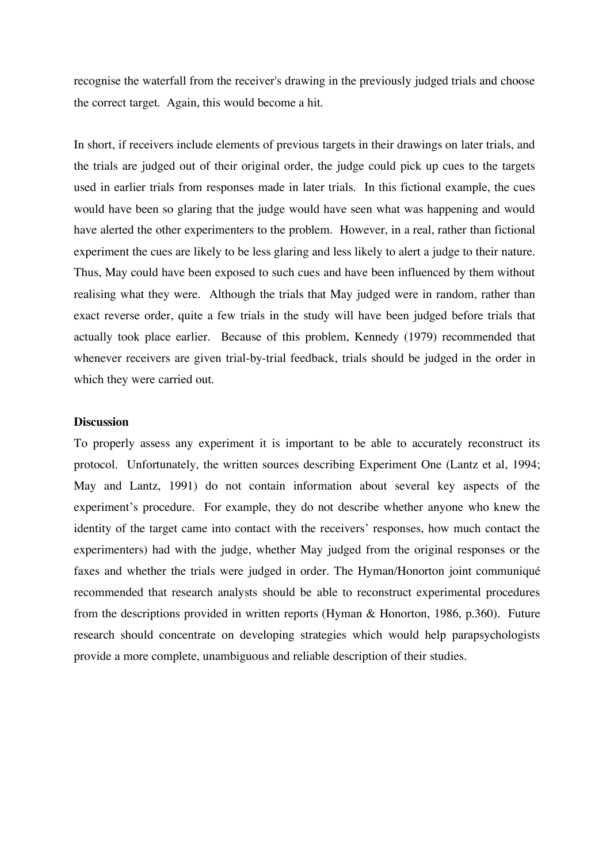recognise the waterfall from the receiver's drawing in the previously judged trials and choose the correct target. Again, this would become a hit.

In short, if receivers include elements of previous targets in their drawings on later trials, and the trials are judged out of their original order, the judge could pick up cues to the targets used in earlier trials from responses made in later trials. In this fictional example, the cues would have been so glaring that the judge would have seen what was happening and would have alerted the other experimenters to the problem. However, in a real, rather than fictional experiment the cues are likely to be less glaring and less likely to alert a judge to their nature. Thus, May could have been exposed to such cues and have been influenced by them without realising what they were. Although the trials that May judged were in random, rather than exact reverse order, quite a few trials in the study will have been judged before trials that actually took place earlier. Because of this problem, Kennedy (1979) recommended that whenever receivers are given trial-by-trial feedback, trials should be judged in the order in which they were carried out.

## **Discussion**

To properly assess any experiment it is important to be able to accurately reconstruct its protocol. Unfortunately, the written sources describing Experiment One (Lantz et al, 1994; May and Lantz, 1991) do not contain information about several key aspects of the experiment's procedure. For example, they do not describe whether anyone who knew the identity of the target came into contact with the receivers' responses, how much contact the experimenters) had with the judge, whether May judged from the original responses or the faxes and whether the trials were judged in order. The Hyman/Honorton joint communiqué recommended that research analysts should be able to reconstruct experimental procedures from the descriptions provided in written reports (Hyman & Honorton, 1986, p.360). Future research should concentrate on developing strategies which would help parapsychologists provide a more complete, unambiguous and reliable description of their studies.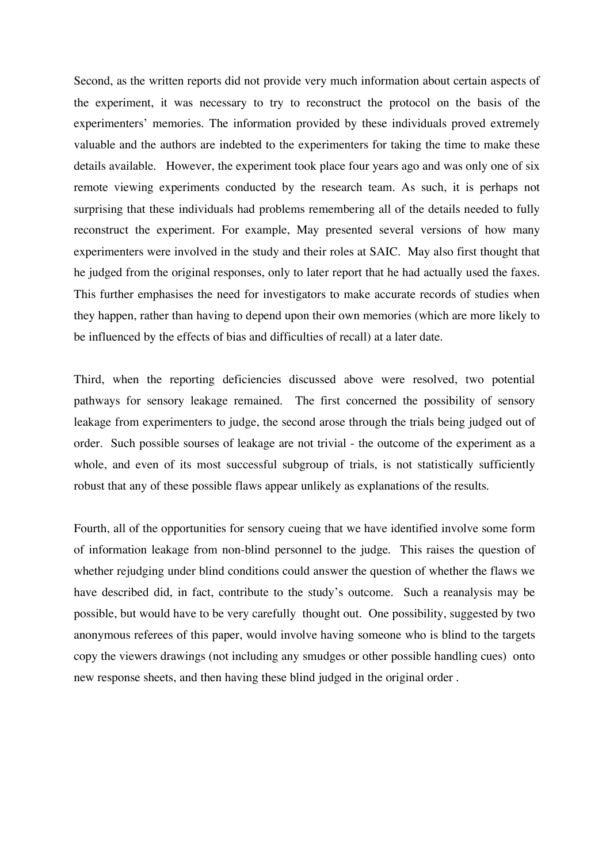Second, as the written reports did not provide very much information about certain aspects of the experiment, it was necessary to try to reconstruct the protocol on the basis of the experimenters' memories. The information provided by these individuals proved extremely valuable and the authors are indebted to the experimenters for taking the time to make these details available. However, the experiment took place four years ago and was only one of six remote viewing experiments conducted by the research team. As such, it is perhaps not surprising that these individuals had problems remembering all of the details needed to fully reconstruct the experiment. For example, May presented several versions of how many experimenters were involved in the study and their roles at SAIC. May also first thought that he judged from the original responses, only to later report that he had actually used the faxes. This further emphasises the need for investigators to make accurate records of studies when they happen, rather than having to depend upon their own memories (which are more likely to be influenced by the effects of bias and difficulties of recall) at a later date.

Third, when the reporting deficiencies discussed above were resolved, two potential pathways for sensory leakage remained. The first concerned the possibility of sensory leakage from experimenters to judge, the second arose through the trials being judged out of order. Such possible sourses of leakage are not trivial - the outcome of the experiment as a whole, and even of its most successful subgroup of trials, is not statistically sufficiently robust that any of these possible flaws appear unlikely as explanations of the results.

Fourth, all of the opportunities for sensory cueing that we have identified involve some form of information leakage from non-blind personnel to the judge. This raises the question of whether rejudging under blind conditions could answer the question of whether the flaws we have described did, in fact, contribute to the study's outcome. Such a reanalysis may be possible, but would have to be very carefully thought out. One possibility, suggested by two anonymous referees of this paper, would involve having someone who is blind to the targets copy the viewers drawings (not including any smudges or other possible handling cues) onto new response sheets, and then having these blind judged in the original order .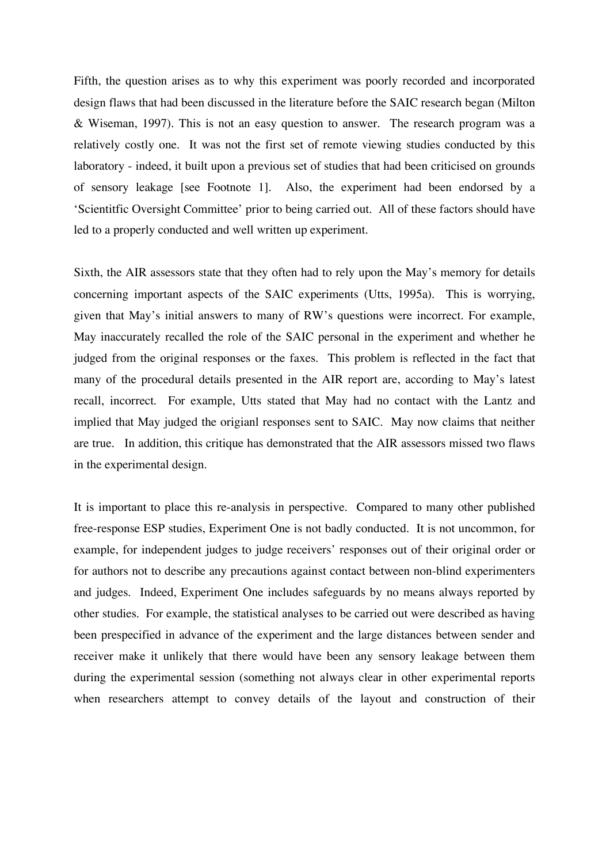Fifth, the question arises as to why this experiment was poorly recorded and incorporated design flaws that had been discussed in the literature before the SAIC research began (Milton & Wiseman, 1997). This is not an easy question to answer. The research program was a relatively costly one. It was not the first set of remote viewing studies conducted by this laboratory - indeed, it built upon a previous set of studies that had been criticised on grounds of sensory leakage [see Footnote 1]. Also, the experiment had been endorsed by a 'Scientitfic Oversight Committee' prior to being carried out. All of these factors should have led to a properly conducted and well written up experiment.

Sixth, the AIR assessors state that they often had to rely upon the May's memory for details concerning important aspects of the SAIC experiments (Utts, 1995a). This is worrying, given that May's initial answers to many of RW's questions were incorrect. For example, May inaccurately recalled the role of the SAIC personal in the experiment and whether he judged from the original responses or the faxes. This problem is reflected in the fact that many of the procedural details presented in the AIR report are, according to May's latest recall, incorrect. For example, Utts stated that May had no contact with the Lantz and implied that May judged the origianl responses sent to SAIC. May now claims that neither are true. In addition, this critique has demonstrated that the AIR assessors missed two flaws in the experimental design.

It is important to place this re-analysis in perspective. Compared to many other published free-response ESP studies, Experiment One is not badly conducted. It is not uncommon, for example, for independent judges to judge receivers' responses out of their original order or for authors not to describe any precautions against contact between non-blind experimenters and judges. Indeed, Experiment One includes safeguards by no means always reported by other studies. For example, the statistical analyses to be carried out were described as having been prespecified in advance of the experiment and the large distances between sender and receiver make it unlikely that there would have been any sensory leakage between them during the experimental session (something not always clear in other experimental reports when researchers attempt to convey details of the layout and construction of their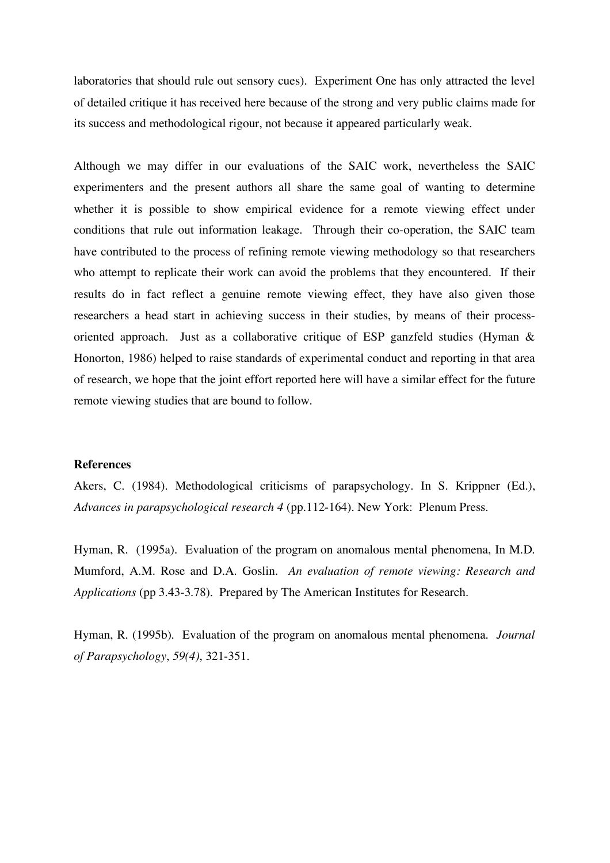laboratories that should rule out sensory cues). Experiment One has only attracted the level of detailed critique it has received here because of the strong and very public claims made for its success and methodological rigour, not because it appeared particularly weak.

Although we may differ in our evaluations of the SAIC work, nevertheless the SAIC experimenters and the present authors all share the same goal of wanting to determine whether it is possible to show empirical evidence for a remote viewing effect under conditions that rule out information leakage. Through their co-operation, the SAIC team have contributed to the process of refining remote viewing methodology so that researchers who attempt to replicate their work can avoid the problems that they encountered. If their results do in fact reflect a genuine remote viewing effect, they have also given those researchers a head start in achieving success in their studies, by means of their processoriented approach. Just as a collaborative critique of ESP ganzfeld studies (Hyman & Honorton, 1986) helped to raise standards of experimental conduct and reporting in that area of research, we hope that the joint effort reported here will have a similar effect for the future remote viewing studies that are bound to follow.

### **References**

Akers, C. (1984). Methodological criticisms of parapsychology. In S. Krippner (Ed.), *Advances in parapsychological research 4* (pp.112-164). New York: Plenum Press.

Hyman, R. (1995a). Evaluation of the program on anomalous mental phenomena, In M.D. Mumford, A.M. Rose and D.A. Goslin. *An evaluation of remote viewing: Research and Applications* (pp 3.43-3.78). Prepared by The American Institutes for Research.

Hyman, R. (1995b). Evaluation of the program on anomalous mental phenomena. *Journal of Parapsychology*, *59(4)*, 321-351.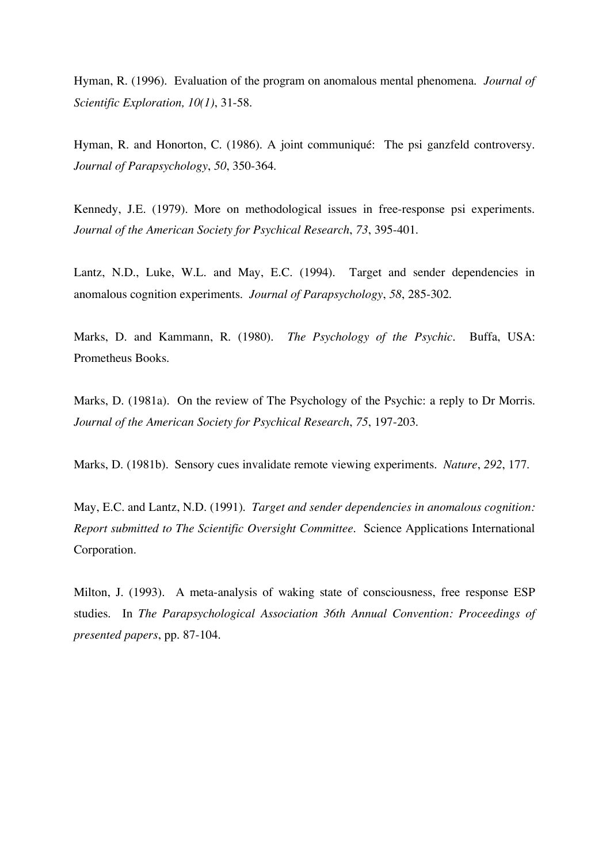Hyman, R. (1996). Evaluation of the program on anomalous mental phenomena. *Journal of Scientific Exploration, 10(1)*, 31-58.

Hyman, R. and Honorton, C. (1986). A joint communiqué: The psi ganzfeld controversy. *Journal of Parapsychology*, *50*, 350-364.

Kennedy, J.E. (1979). More on methodological issues in free-response psi experiments. *Journal of the American Society for Psychical Research*, *73*, 395-401.

Lantz, N.D., Luke, W.L. and May, E.C. (1994). Target and sender dependencies in anomalous cognition experiments. *Journal of Parapsychology*, *58*, 285-302.

Marks, D. and Kammann, R. (1980). *The Psychology of the Psychic.* Buffa, USA: Prometheus Books.

Marks, D. (1981a). On the review of The Psychology of the Psychic: a reply to Dr Morris. *Journal of the American Society for Psychical Research*, *75*, 197-203.

Marks, D. (1981b). Sensory cues invalidate remote viewing experiments. *Nature*, *292*, 177.

May, E.C. and Lantz, N.D. (1991). *Target and sender dependencies in anomalous cognition: Report submitted to The Scientific Oversight Committee.* Science Applications International Corporation.

Milton, J. (1993). A meta-analysis of waking state of consciousness, free response ESP studies. In *The Parapsychological Association 36th Annual Convention: Proceedings of presented papers*, pp. 87-104.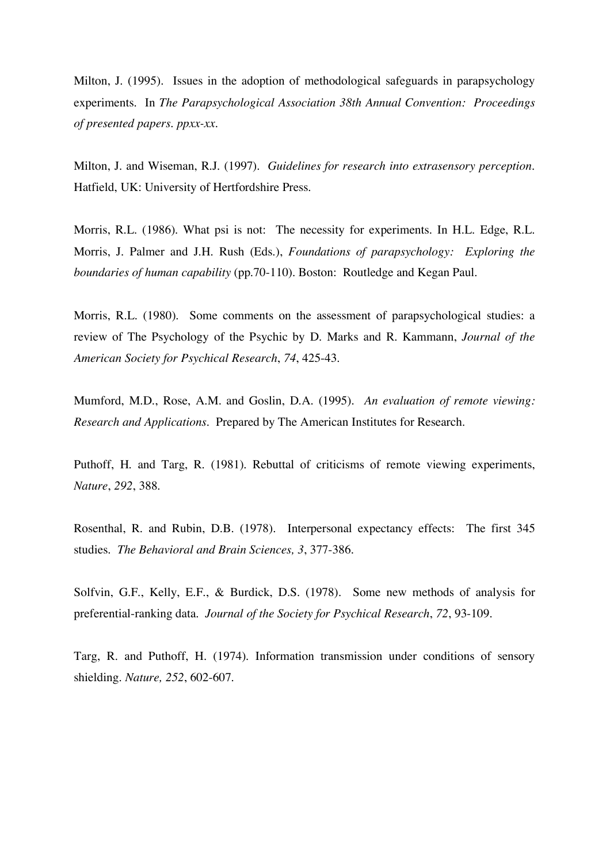Milton, J. (1995). Issues in the adoption of methodological safeguards in parapsychology experiments. In *The Parapsychological Association 38th Annual Convention: Proceedings of presented papers. ppxx-xx.*

Milton, J. and Wiseman, R.J. (1997). *Guidelines for research into extrasensory perception.* Hatfield, UK: University of Hertfordshire Press.

Morris, R.L. (1986). What psi is not: The necessity for experiments. In H.L. Edge, R.L. Morris, J. Palmer and J.H. Rush (Eds.), *Foundations of parapsychology: Exploring the boundaries of human capability* (pp.70-110). Boston: Routledge and Kegan Paul.

Morris, R.L. (1980). Some comments on the assessment of parapsychological studies: a review of The Psychology of the Psychic by D. Marks and R. Kammann, *Journal of the American Society for Psychical Research*, *74*, 425-43.

Mumford, M.D., Rose, A.M. and Goslin, D.A. (1995). *An evaluation of remote viewing: Research and Applications.* Prepared by The American Institutes for Research.

Puthoff, H. and Targ, R. (1981). Rebuttal of criticisms of remote viewing experiments, *Nature*, *292*, 388.

Rosenthal, R. and Rubin, D.B. (1978). Interpersonal expectancy effects: The first 345 studies. *The Behavioral and Brain Sciences, 3*, 377-386.

Solfvin, G.F., Kelly, E.F., & Burdick, D.S. (1978). Some new methods of analysis for preferential-ranking data. *Journal of the Society for Psychical Research*, *72*, 93-109.

Targ, R. and Puthoff, H. (1974). Information transmission under conditions of sensory shielding. *Nature, 252*, 602-607.